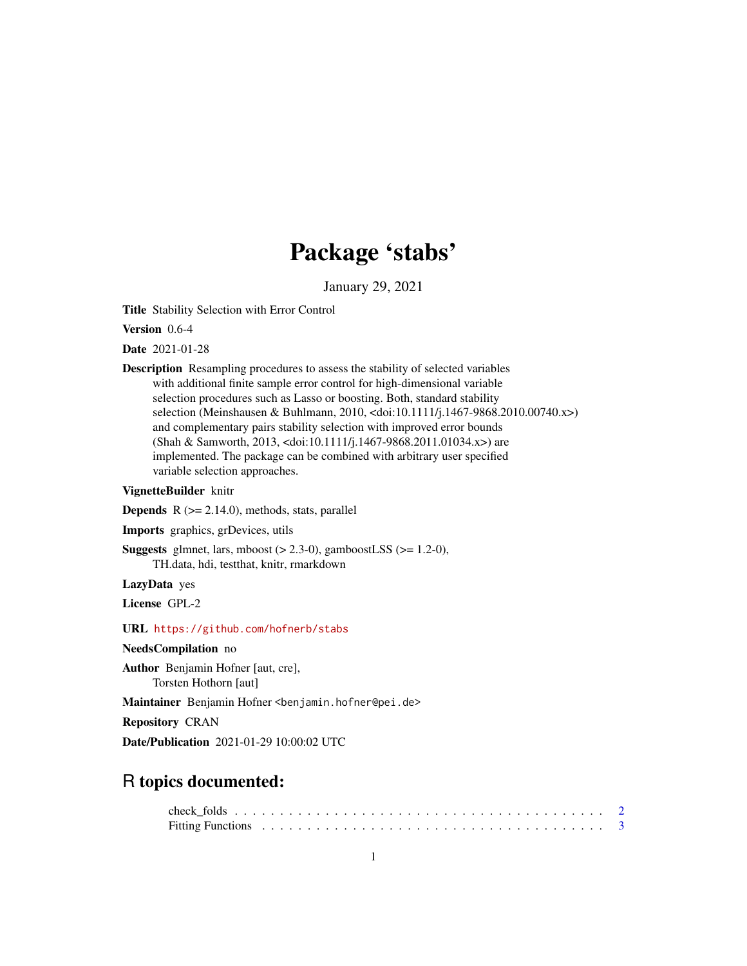# Package 'stabs'

January 29, 2021

<span id="page-0-0"></span>Title Stability Selection with Error Control

Version 0.6-4

Date 2021-01-28

Description Resampling procedures to assess the stability of selected variables with additional finite sample error control for high-dimensional variable selection procedures such as Lasso or boosting. Both, standard stability selection (Meinshausen & Buhlmann, 2010, <doi:10.1111/j.1467-9868.2010.00740.x>) and complementary pairs stability selection with improved error bounds (Shah & Samworth, 2013, <doi:10.1111/j.1467-9868.2011.01034.x>) are implemented. The package can be combined with arbitrary user specified variable selection approaches.

# VignetteBuilder knitr

**Depends**  $R$  ( $>= 2.14.0$ ), methods, stats, parallel

Imports graphics, grDevices, utils

**Suggests** glmnet, lars, mboost  $(> 2.3-0)$ , gamboostLSS  $(>= 1.2-0)$ , TH.data, hdi, testthat, knitr, rmarkdown

LazyData yes

License GPL-2

URL <https://github.com/hofnerb/stabs>

NeedsCompilation no

Author Benjamin Hofner [aut, cre], Torsten Hothorn [aut]

Maintainer Benjamin Hofner <benjamin.hofner@pei.de>

Repository CRAN

Date/Publication 2021-01-29 10:00:02 UTC

# R topics documented: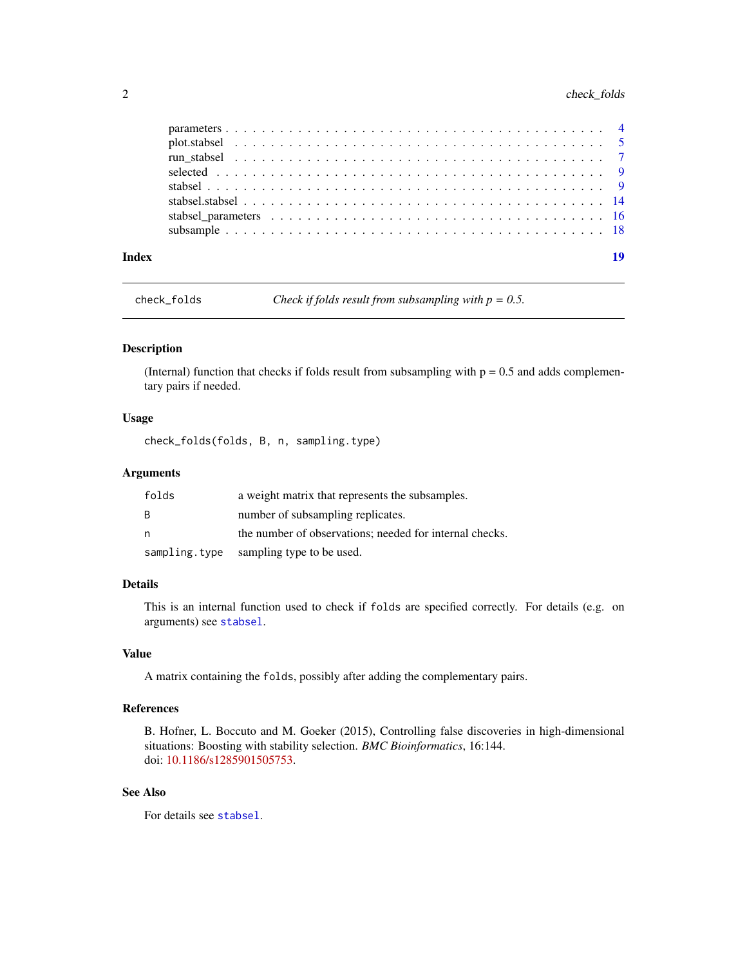<span id="page-1-0"></span>

| Index | 19 |
|-------|----|

check\_folds *Check if folds result from subsampling with p = 0.5.*

# Description

(Internal) function that checks if folds result from subsampling with  $p = 0.5$  and adds complementary pairs if needed.

#### Usage

check\_folds(folds, B, n, sampling.type)

# Arguments

| folds         | a weight matrix that represents the subsamples.         |
|---------------|---------------------------------------------------------|
| B.            | number of subsampling replicates.                       |
| n             | the number of observations; needed for internal checks. |
| sampling.type | sampling type to be used.                               |

# Details

This is an internal function used to check if folds are specified correctly. For details (e.g. on arguments) see [stabsel](#page-8-1).

# Value

A matrix containing the folds, possibly after adding the complementary pairs.

#### References

B. Hofner, L. Boccuto and M. Goeker (2015), Controlling false discoveries in high-dimensional situations: Boosting with stability selection. *BMC Bioinformatics*, 16:144. doi: [10.1186/s1285901505753.](https://doi.org/10.1186/s12859-015-0575-3)

# See Also

For details see [stabsel](#page-8-1).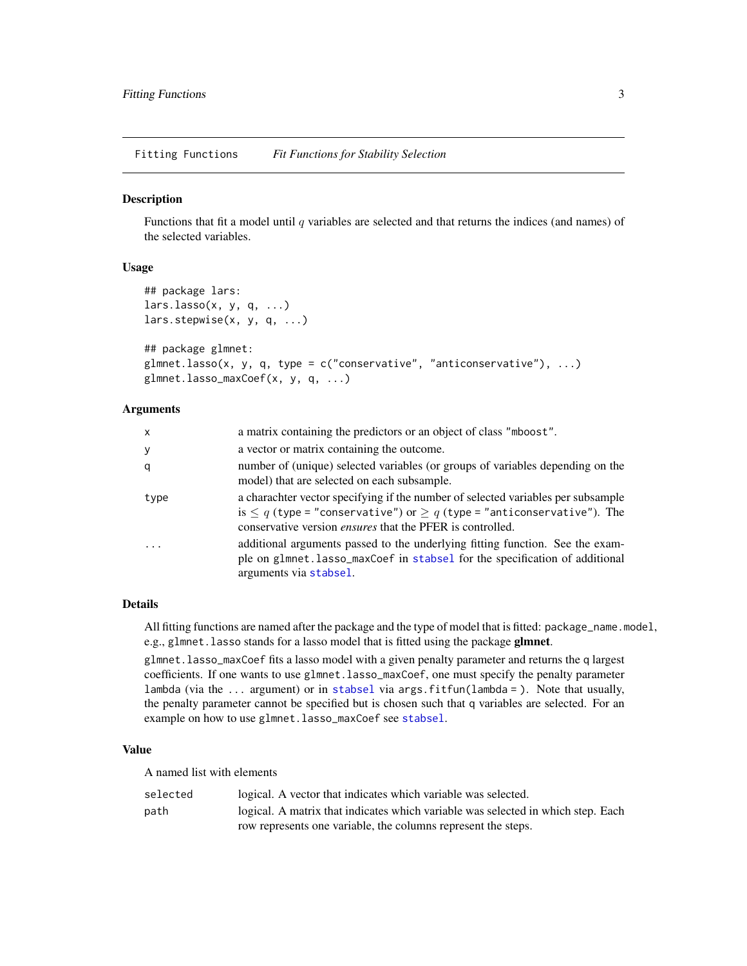<span id="page-2-0"></span>Fitting Functions *Fit Functions for Stability Selection*

#### <span id="page-2-1"></span>**Description**

Functions that fit a model until  $q$  variables are selected and that returns the indices (and names) of the selected variables.

# Usage

```
## package lars:
lars.lasso(x, y, q, ...)lars.stepwise(x, y, q, ...)
## package glmnet:
glmnet.lasso(x, y, q, type = c("conservative", "anticonservative"), ...)
glmnet.lasso_maxCoef(x, y, q, ...)
```
# Arguments

| $\mathsf{x}$ | a matrix containing the predictors or an object of class "mboost".                                                                                                                                                                       |
|--------------|------------------------------------------------------------------------------------------------------------------------------------------------------------------------------------------------------------------------------------------|
| У            | a vector or matrix containing the outcome.                                                                                                                                                                                               |
| q            | number of (unique) selected variables (or groups of variables depending on the<br>model) that are selected on each subsample.                                                                                                            |
| type         | a charachter vector specifying if the number of selected variables per subsample<br>is $\leq q$ (type = "conservative") or $\geq q$ (type = "anticonservative"). The<br>conservative version <i>ensures</i> that the PFER is controlled. |
| $\cdot$      | additional arguments passed to the underlying fitting function. See the exam-<br>ple on glmnet.lasso_maxCoef in stabsel for the specification of additional<br>arguments via stabsel.                                                    |

# Details

All fitting functions are named after the package and the type of model that is fitted: package\_name.model, e.g., glmnet. lasso stands for a lasso model that is fitted using the package glmnet.

glmnet.lasso\_maxCoef fits a lasso model with a given penalty parameter and returns the q largest coefficients. If one wants to use glmnet.lasso\_maxCoef, one must specify the penalty parameter lambda (via the ... argument) or in [stabsel](#page-8-1) via args.fitfun(lambda = ). Note that usually, the penalty parameter cannot be specified but is chosen such that q variables are selected. For an example on how to use glmnet.lasso\_maxCoef see [stabsel](#page-8-1).

#### Value

A named list with elements

| selected | logical. A vector that indicates which variable was selected.                    |
|----------|----------------------------------------------------------------------------------|
| path     | logical. A matrix that indicates which variable was selected in which step. Each |
|          | row represents one variable, the columns represent the steps.                    |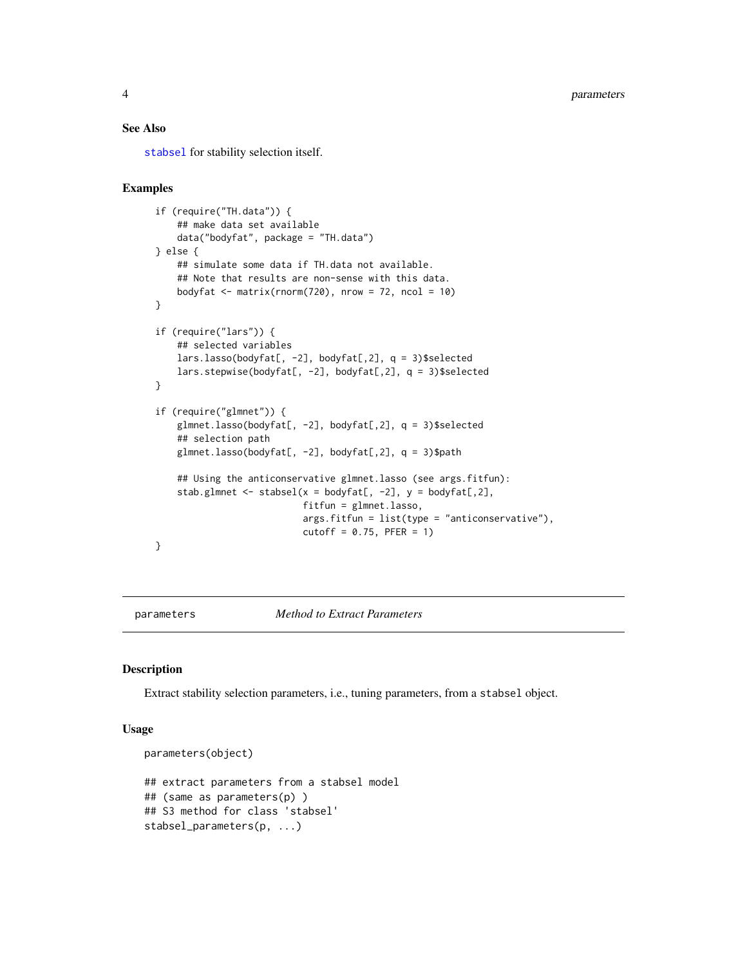#### <span id="page-3-0"></span>See Also

[stabsel](#page-8-1) for stability selection itself.

# Examples

```
if (require("TH.data")) {
    ## make data set available
    data("bodyfat", package = "TH.data")
} else {
    ## simulate some data if TH.data not available.
    ## Note that results are non-sense with this data.
    bodyfat \leq matrix(rnorm(720), nrow = 72, ncol = 10)
}
if (require("lars")) {
    ## selected variables
    lars.lasso(bodyfat[, -2], bodyfat[,2], q = 3)$selected
    lars.stepwise(bodyfat[, -2], bodyfat[,2], q = 3)$selected
}
if (require("glmnet")) {
    glmnet.lasso(bodyfat[, -2], bodyfat[,2], q = 3)$selected
    ## selection path
    glmnet.lasso(bodyfat[, -2], bodyfat[,2], q = 3)$path
    ## Using the anticonservative glmnet.lasso (see args.fitfun):
    stab.glmnet <- stabsel(x = bodyfat[, -2], y = bodyfat[, 2],fitfun = glmnet.lasso,
                           args.fitfun = list(type = "anticonservative"),cutoff = 0.75, PFER = 1)}
```
parameters *Method to Extract Parameters*

#### Description

Extract stability selection parameters, i.e., tuning parameters, from a stabsel object.

#### Usage

```
parameters(object)
## extract parameters from a stabsel model
## (same as parameters(p) )
## S3 method for class 'stabsel'
stabsel_parameters(p, ...)
```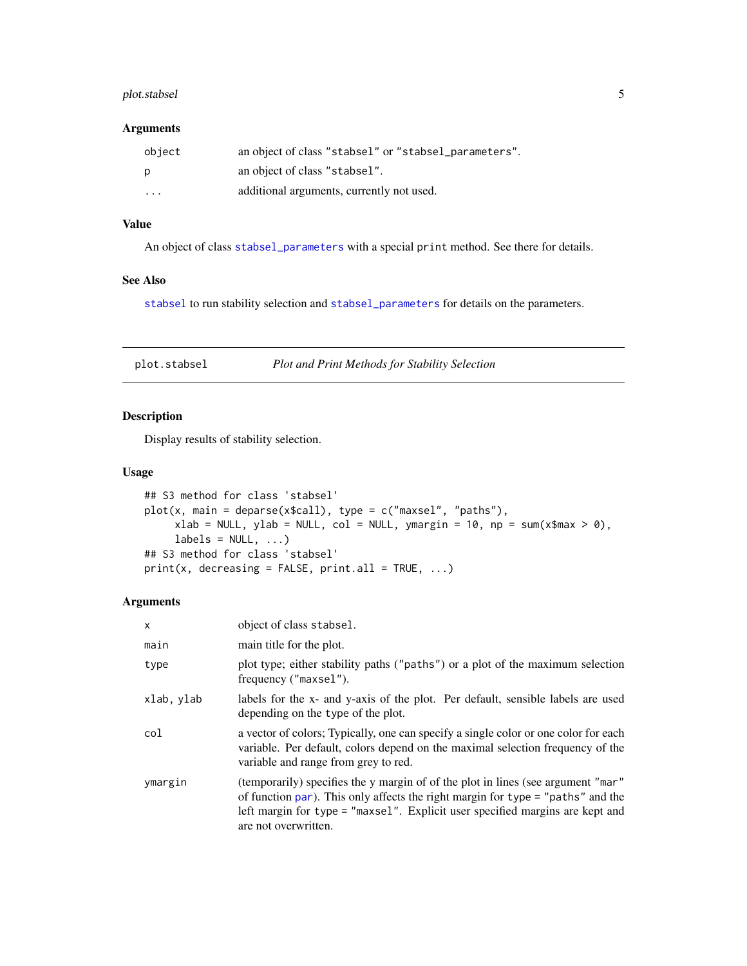# <span id="page-4-0"></span>plot.stabsel 5

#### Arguments

| object                  | an object of class "stabsel" or "stabsel_parameters". |
|-------------------------|-------------------------------------------------------|
| p                       | an object of class "stabsel".                         |
| $\cdot$ $\cdot$ $\cdot$ | additional arguments, currently not used.             |

# Value

An object of class [stabsel\\_parameters](#page-15-1) with a special print method. See there for details.

# See Also

[stabsel](#page-8-1) to run stability selection and [stabsel\\_parameters](#page-15-1) for details on the parameters.

<span id="page-4-1"></span>

| plot.stabsel | Plot and Print Methods for Stability Selection |
|--------------|------------------------------------------------|
|              |                                                |

# Description

Display results of stability selection.

#### Usage

```
## S3 method for class 'stabsel'
plot(x, main = deparse(x$call), type = c("maxsel", "paths"),xlab = NULL, ylab = NULL, col = NULL, ymargin = 10, np = sum(x*max > 0),
     labels = NULL, ...)## S3 method for class 'stabsel'
print(x, decreasing = FALSE, print.al1 = TRUE, ...)
```

| X          | object of class stabsel.                                                                                                                                                                                                                                                        |
|------------|---------------------------------------------------------------------------------------------------------------------------------------------------------------------------------------------------------------------------------------------------------------------------------|
| main       | main title for the plot.                                                                                                                                                                                                                                                        |
| type       | plot type; either stability paths ("paths") or a plot of the maximum selection<br>frequency ("maxsel").                                                                                                                                                                         |
| xlab, ylab | labels for the x- and y-axis of the plot. Per default, sensible labels are used<br>depending on the type of the plot.                                                                                                                                                           |
| col        | a vector of colors; Typically, one can specify a single color or one color for each<br>variable. Per default, colors depend on the maximal selection frequency of the<br>variable and range from grey to red.                                                                   |
| ymargin    | (temporarily) specifies the y margin of of the plot in lines (see argument "mar"<br>of function $par$ ). This only affects the right margin for type = "paths" and the<br>left margin for type = "maxsel". Explicit user specified margins are kept and<br>are not overwritten. |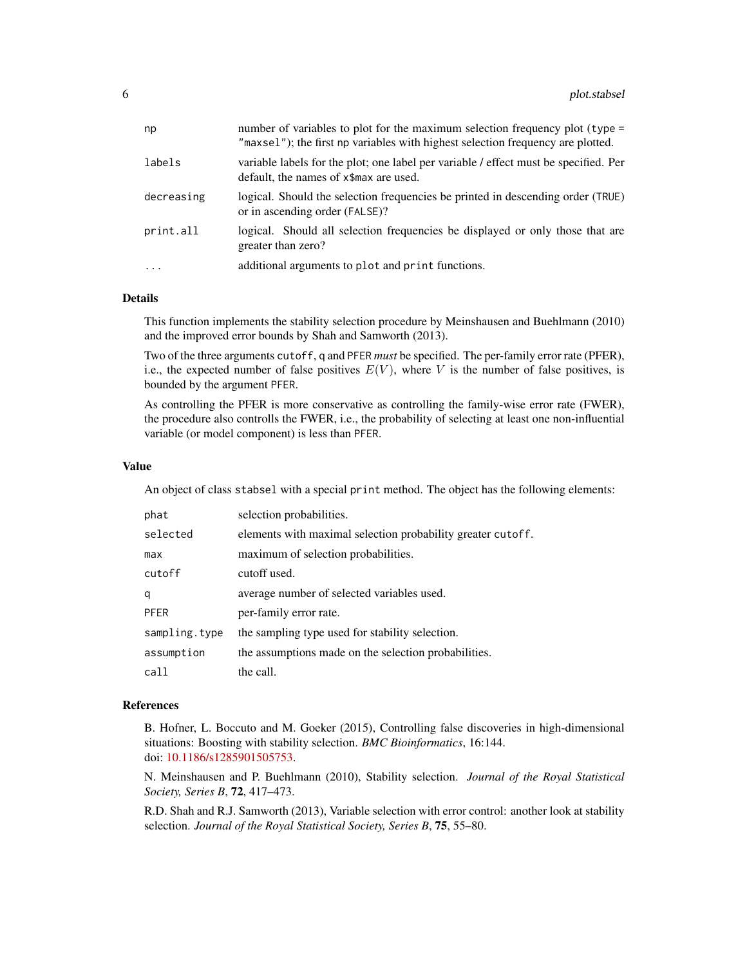| variable labels for the plot; one label per variable / effect must be specified. Per<br>default, the names of x\$max are used.<br>or in ascending order (FALSE)?<br>logical. Should all selection frequencies be displayed or only those that are<br>greater than zero?<br>additional arguments to plot and print functions. | np         | number of variables to plot for the maximum selection frequency plot (type =<br>"maxsel"); the first np variables with highest selection frequency are plotted. |
|------------------------------------------------------------------------------------------------------------------------------------------------------------------------------------------------------------------------------------------------------------------------------------------------------------------------------|------------|-----------------------------------------------------------------------------------------------------------------------------------------------------------------|
|                                                                                                                                                                                                                                                                                                                              | labels     |                                                                                                                                                                 |
|                                                                                                                                                                                                                                                                                                                              | decreasing | logical. Should the selection frequencies be printed in descending order (TRUE)                                                                                 |
|                                                                                                                                                                                                                                                                                                                              | print.all  |                                                                                                                                                                 |
|                                                                                                                                                                                                                                                                                                                              | $\cdots$   |                                                                                                                                                                 |

This function implements the stability selection procedure by Meinshausen and Buehlmann (2010) and the improved error bounds by Shah and Samworth (2013).

Two of the three arguments cutoff, q and PFER *must* be specified. The per-family error rate (PFER), i.e., the expected number of false positives  $E(V)$ , where V is the number of false positives, is bounded by the argument PFER.

As controlling the PFER is more conservative as controlling the family-wise error rate (FWER), the procedure also controlls the FWER, i.e., the probability of selecting at least one non-influential variable (or model component) is less than PFER.

#### Value

An object of class stabsel with a special print method. The object has the following elements:

| phat          | selection probabilities.                                    |
|---------------|-------------------------------------------------------------|
| selected      | elements with maximal selection probability greater cutoff. |
| max           | maximum of selection probabilities.                         |
| cutoff        | cutoff used.                                                |
| q             | average number of selected variables used.                  |
| <b>PFER</b>   | per-family error rate.                                      |
| sampling.type | the sampling type used for stability selection.             |
| assumption    | the assumptions made on the selection probabilities.        |
| call          | the call.                                                   |

#### References

B. Hofner, L. Boccuto and M. Goeker (2015), Controlling false discoveries in high-dimensional situations: Boosting with stability selection. *BMC Bioinformatics*, 16:144. doi: [10.1186/s1285901505753.](https://doi.org/10.1186/s12859-015-0575-3)

N. Meinshausen and P. Buehlmann (2010), Stability selection. *Journal of the Royal Statistical Society, Series B*, 72, 417–473.

R.D. Shah and R.J. Samworth (2013), Variable selection with error control: another look at stability selection. *Journal of the Royal Statistical Society, Series B*, 75, 55–80.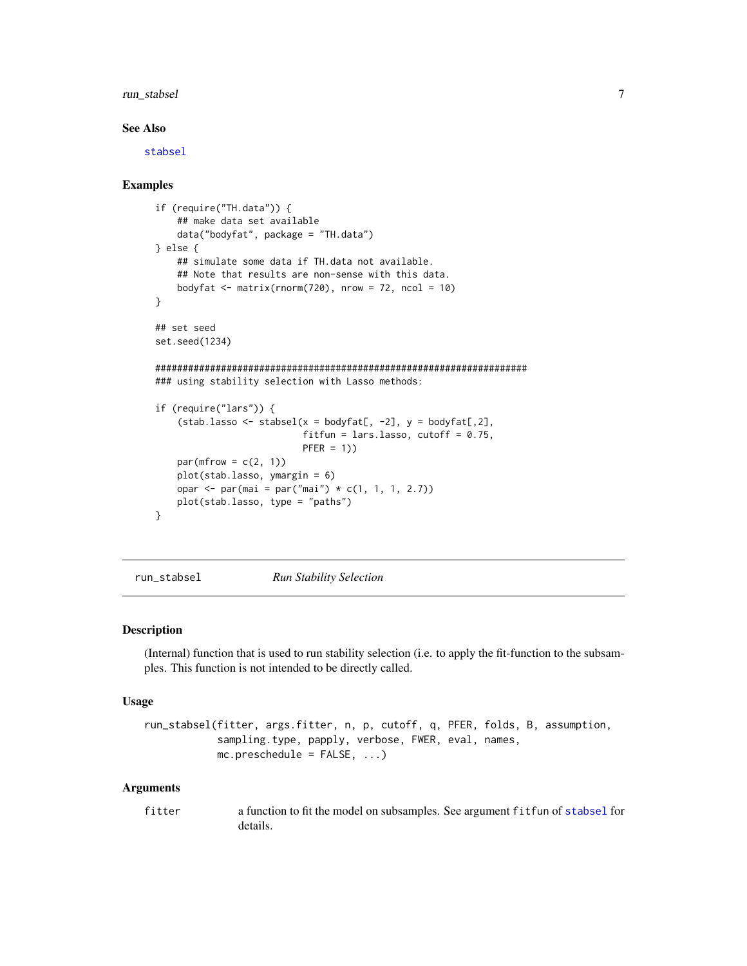# <span id="page-6-0"></span>run\_stabsel 7

#### See Also

[stabsel](#page-8-1)

#### Examples

```
if (require("TH.data")) {
    ## make data set available
    data("bodyfat", package = "TH.data")
} else {
    ## simulate some data if TH.data not available.
    ## Note that results are non-sense with this data.
    bodyfat \leq matrix(rnorm(720), nrow = 72, ncol = 10)
}
## set seed
set.seed(1234)
####################################################################
### using stability selection with Lasso methods:
if (require("lars")) {
    (stab.lasso <- stabsel(x = bodyfat[, -2], y = bodyfat[,2],
                           fitfun = lars.lasso, cutoff = 0.75,
                           PFER = 1)par(mfrow = c(2, 1))plot(stab.lasso, ymargin = 6)
    opar <- par(mai = par("mai") * c(1, 1, 1, 2.7))
    plot(stab.lasso, type = "paths")
}
```
run\_stabsel *Run Stability Selection*

#### Description

(Internal) function that is used to run stability selection (i.e. to apply the fit-function to the subsamples. This function is not intended to be directly called.

#### Usage

```
run_stabsel(fitter, args.fitter, n, p, cutoff, q, PFER, folds, B, assumption,
           sampling.type, papply, verbose, FWER, eval, names,
           mc.preschedule = FALSE, ...)
```

| fitter | a function to fit the model on subsamples. See argument fit fun of stabsel for |
|--------|--------------------------------------------------------------------------------|
|        | details.                                                                       |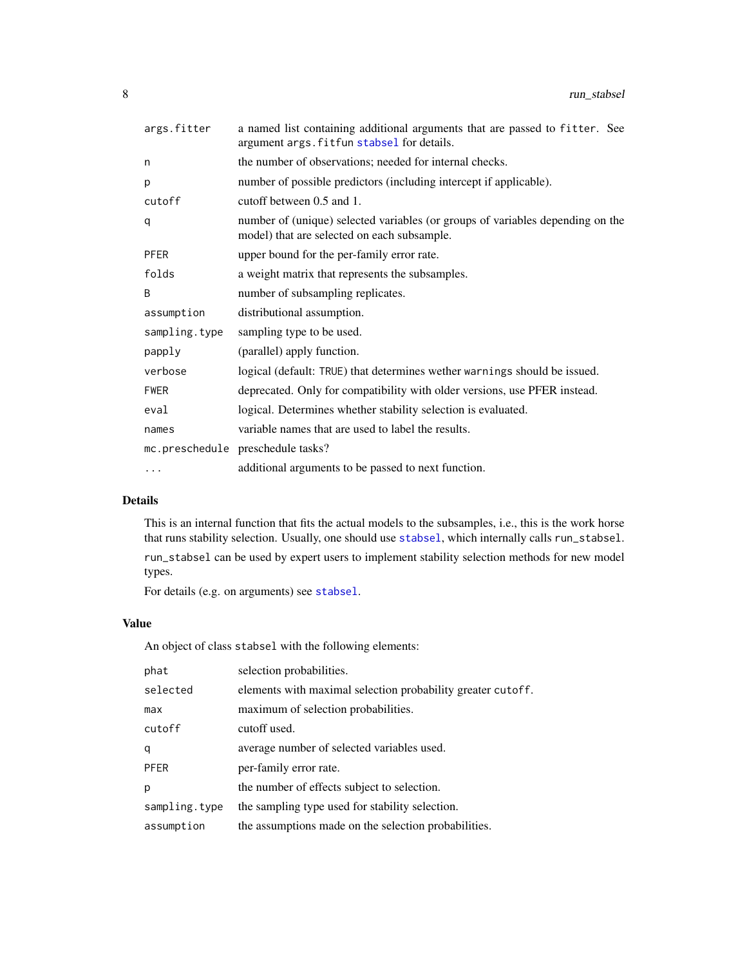| args.fitter   | a named list containing additional arguments that are passed to fitter. See<br>argument args. fitfun stabsel for details.     |
|---------------|-------------------------------------------------------------------------------------------------------------------------------|
| n             | the number of observations; needed for internal checks.                                                                       |
| p             | number of possible predictors (including intercept if applicable).                                                            |
| cutoff        | cutoff between 0.5 and 1.                                                                                                     |
| q             | number of (unique) selected variables (or groups of variables depending on the<br>model) that are selected on each subsample. |
| <b>PFER</b>   | upper bound for the per-family error rate.                                                                                    |
| folds         | a weight matrix that represents the subsamples.                                                                               |
| B             | number of subsampling replicates.                                                                                             |
| assumption    | distributional assumption.                                                                                                    |
| sampling.type | sampling type to be used.                                                                                                     |
| papply        | (parallel) apply function.                                                                                                    |
| verbose       | logical (default: TRUE) that determines wether warnings should be issued.                                                     |
| <b>FWER</b>   | deprecated. Only for compatibility with older versions, use PFER instead.                                                     |
| eval          | logical. Determines whether stability selection is evaluated.                                                                 |
| names         | variable names that are used to label the results.                                                                            |
|               | mc.preschedule preschedule tasks?                                                                                             |
| $\cdots$      | additional arguments to be passed to next function.                                                                           |
|               |                                                                                                                               |

This is an internal function that fits the actual models to the subsamples, i.e., this is the work horse that runs stability selection. Usually, one should use [stabsel](#page-8-1), which internally calls run\_stabsel.

run\_stabsel can be used by expert users to implement stability selection methods for new model types.

For details (e.g. on arguments) see [stabsel](#page-8-1).

# Value

An object of class stabsel with the following elements:

| phat          | selection probabilities.                                    |
|---------------|-------------------------------------------------------------|
| selected      | elements with maximal selection probability greater cutoff. |
| max           | maximum of selection probabilities.                         |
| cutoff        | cutoff used.                                                |
| q             | average number of selected variables used.                  |
| <b>PFER</b>   | per-family error rate.                                      |
| p             | the number of effects subject to selection.                 |
| sampling.type | the sampling type used for stability selection.             |
| assumption    | the assumptions made on the selection probabilities.        |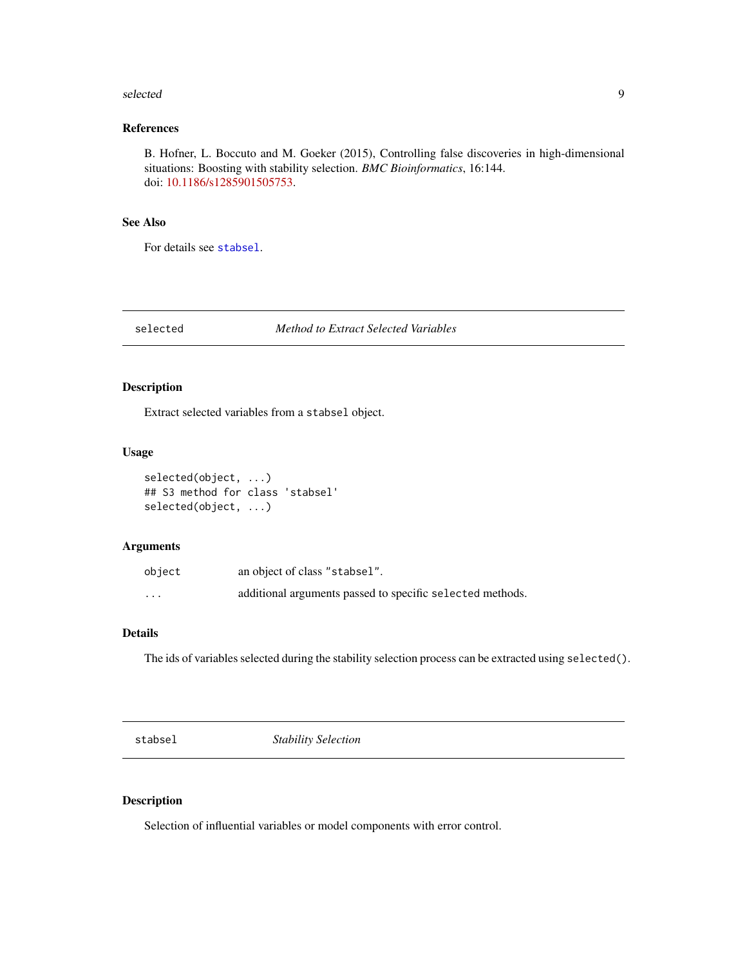#### <span id="page-8-0"></span>selected 99 and 200 minutes and 200 minutes and 200 minutes and 200 minutes and 200 minutes and 200 minutes and 200 minutes and 200 minutes and 200 minutes and 200 minutes and 200 minutes and 200 minutes and 200 minutes an

# References

B. Hofner, L. Boccuto and M. Goeker (2015), Controlling false discoveries in high-dimensional situations: Boosting with stability selection. *BMC Bioinformatics*, 16:144. doi: [10.1186/s1285901505753.](https://doi.org/10.1186/s12859-015-0575-3)

#### See Also

For details see [stabsel](#page-8-1).

selected *Method to Extract Selected Variables*

# Description

Extract selected variables from a stabsel object.

#### Usage

```
selected(object, ...)
## S3 method for class 'stabsel'
selected(object, ...)
```
# Arguments

| object   | an object of class "stabsel".                             |
|----------|-----------------------------------------------------------|
| $\cdots$ | additional arguments passed to specific selected methods. |

#### Details

The ids of variables selected during the stability selection process can be extracted using selected().

<span id="page-8-1"></span>stabsel *Stability Selection*

# Description

Selection of influential variables or model components with error control.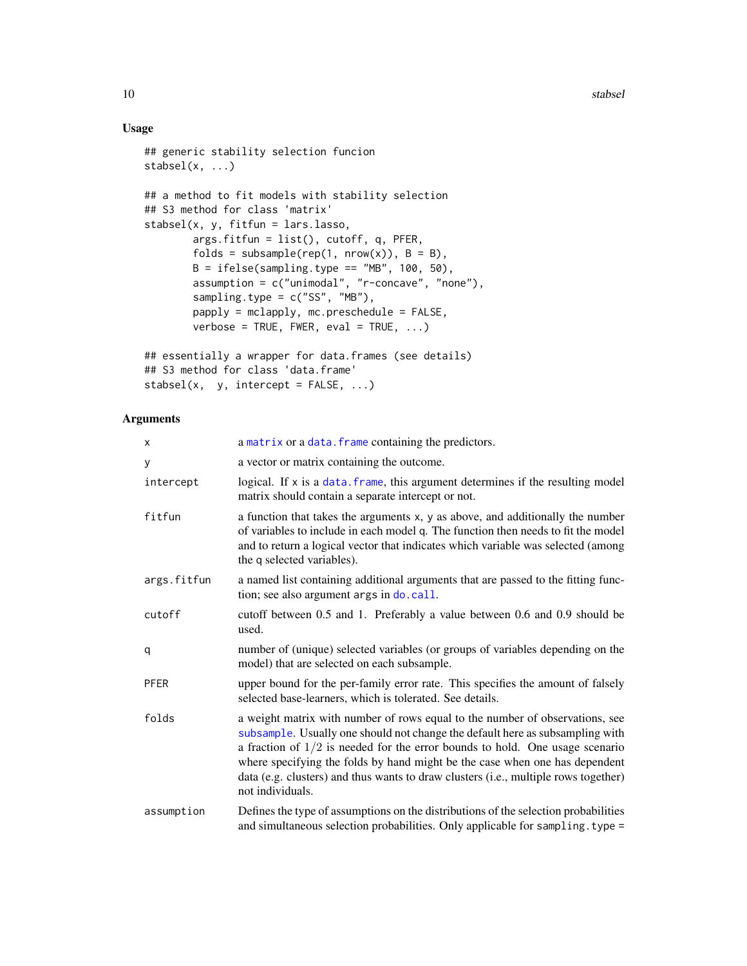# Usage

```
## generic stability selection funcion
stable1(x, ...)## a method to fit models with stability selection
## S3 method for class 'matrix'
stabsel(x, y, fitfun = lars.lasso,
        args.fitfun = list(), cutoff, q, PFER,
        folds = subsample(rep(1, nrow(x)), B = B),
        B = ifelse(sampling-type == "MB", 100, 50),assumption = c("unimodal", "r-concave", "none"),
        sampling.type = c("SS", "MB"),
        papply = mclapply, mc.preschedule = FALSE,
        verbose = TRUE, FWER, eval = TRUE, ...)## essentially a wrapper for data.frames (see details)
## S3 method for class 'data.frame'
```

```
stabsel(x, y, intercept = FALSE, ...)
```

| x           | a matrix or a data. frame containing the predictors.                                                                                                                                                                                                                                                                                                                                                                                      |
|-------------|-------------------------------------------------------------------------------------------------------------------------------------------------------------------------------------------------------------------------------------------------------------------------------------------------------------------------------------------------------------------------------------------------------------------------------------------|
| y           | a vector or matrix containing the outcome.                                                                                                                                                                                                                                                                                                                                                                                                |
| intercept   | logical. If x is a data. frame, this argument determines if the resulting model<br>matrix should contain a separate intercept or not.                                                                                                                                                                                                                                                                                                     |
| fitfun      | a function that takes the arguments x, y as above, and additionally the number<br>of variables to include in each model q. The function then needs to fit the model<br>and to return a logical vector that indicates which variable was selected (among<br>the q selected variables).                                                                                                                                                     |
| args.fitfun | a named list containing additional arguments that are passed to the fitting func-<br>tion; see also argument args in do. call.                                                                                                                                                                                                                                                                                                            |
| cutoff      | cutoff between 0.5 and 1. Preferably a value between 0.6 and 0.9 should be<br>used.                                                                                                                                                                                                                                                                                                                                                       |
| q           | number of (unique) selected variables (or groups of variables depending on the<br>model) that are selected on each subsample.                                                                                                                                                                                                                                                                                                             |
| PFER        | upper bound for the per-family error rate. This specifies the amount of falsely<br>selected base-learners, which is tolerated. See details.                                                                                                                                                                                                                                                                                               |
| folds       | a weight matrix with number of rows equal to the number of observations, see<br>subsample. Usually one should not change the default here as subsampling with<br>a fraction of $1/2$ is needed for the error bounds to hold. One usage scenario<br>where specifying the folds by hand might be the case when one has dependent<br>data (e.g. clusters) and thus wants to draw clusters (i.e., multiple rows together)<br>not individuals. |
| assumption  | Defines the type of assumptions on the distributions of the selection probabilities<br>and simultaneous selection probabilities. Only applicable for sampling. type =                                                                                                                                                                                                                                                                     |

<span id="page-9-0"></span>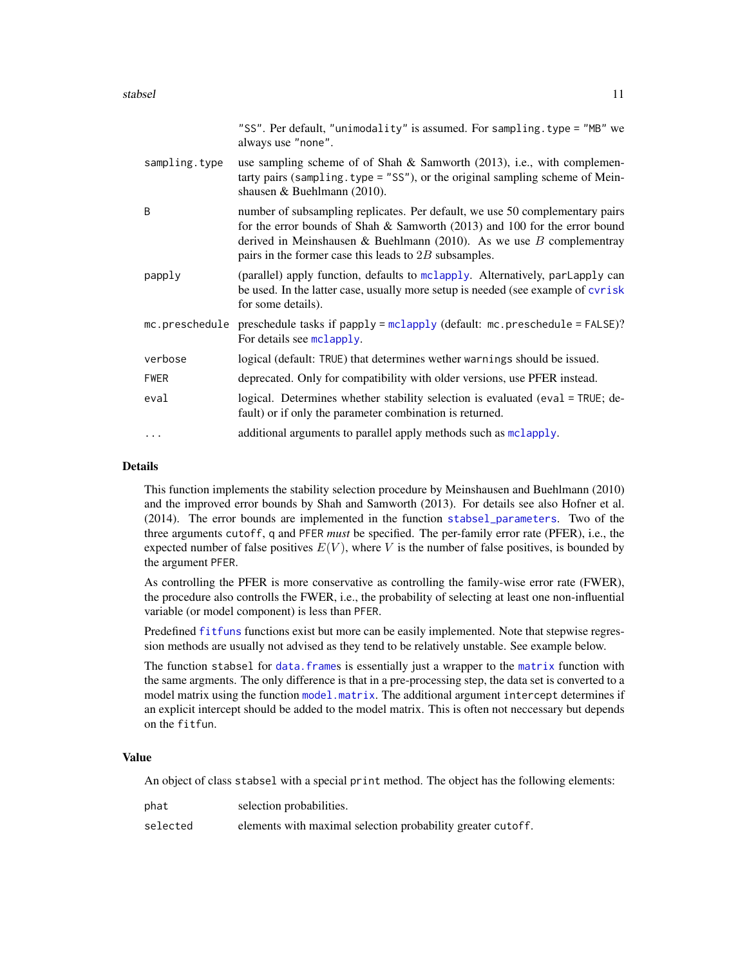<span id="page-10-0"></span>

|               | "SS". Per default, "unimodality" is assumed. For sampling. type = "MB" we<br>always use "none".                                                                                                                                                                                                    |
|---------------|----------------------------------------------------------------------------------------------------------------------------------------------------------------------------------------------------------------------------------------------------------------------------------------------------|
| sampling.type | use sampling scheme of of Shah $\&$ Samworth (2013), i.e., with complemen-<br>tarty pairs (sampling. type $=$ "SS"), or the original sampling scheme of Mein-<br>shausen & Buehlmann $(2010)$ .                                                                                                    |
| B             | number of subsampling replicates. Per default, we use 50 complementary pairs<br>for the error bounds of Shah $\&$ Samworth (2013) and 100 for the error bound<br>derived in Meinshausen & Buehlmann (2010). As we use $B$ complementray<br>pairs in the former case this leads to $2B$ subsamples. |
| papply        | (parallel) apply function, defaults to mclapply. Alternatively, parlapply can<br>be used. In the latter case, usually more setup is needed (see example of cvrisk<br>for some details).                                                                                                            |
|               | mc.preschedule preschedule tasks if papply = mclapply (default: mc.preschedule = FALSE)?<br>For details see mclapply.                                                                                                                                                                              |
| verbose       | logical (default: TRUE) that determines wether warnings should be issued.                                                                                                                                                                                                                          |
| <b>FWER</b>   | deprecated. Only for compatibility with older versions, use PFER instead.                                                                                                                                                                                                                          |
| eval          | logical. Determines whether stability selection is evaluated (eval = TRUE; de-<br>fault) or if only the parameter combination is returned.                                                                                                                                                         |
| .             | additional arguments to parallel apply methods such as mclapply.                                                                                                                                                                                                                                   |

This function implements the stability selection procedure by Meinshausen and Buehlmann (2010) and the improved error bounds by Shah and Samworth (2013). For details see also Hofner et al. (2014). The error bounds are implemented in the function [stabsel\\_parameters](#page-15-1). Two of the three arguments cutoff, q and PFER *must* be specified. The per-family error rate (PFER), i.e., the expected number of false positives  $E(V)$ , where V is the number of false positives, is bounded by the argument PFER.

As controlling the PFER is more conservative as controlling the family-wise error rate (FWER), the procedure also controlls the FWER, i.e., the probability of selecting at least one non-influential variable (or model component) is less than PFER.

Predefined [fitfuns](#page-2-1) functions exist but more can be easily implemented. Note that stepwise regression methods are usually not advised as they tend to be relatively unstable. See example below.

The function stabsel for data. frames is essentially just a wrapper to the [matrix](#page-0-0) function with the same argments. The only difference is that in a pre-processing step, the data set is converted to a model matrix using the function [model.matrix](#page-0-0). The additional argument intercept determines if an explicit intercept should be added to the model matrix. This is often not neccessary but depends on the fitfun.

#### Value

An object of class stabsel with a special print method. The object has the following elements:

| phat     | selection probabilities.                                    |
|----------|-------------------------------------------------------------|
| selected | elements with maximal selection probability greater cutoff. |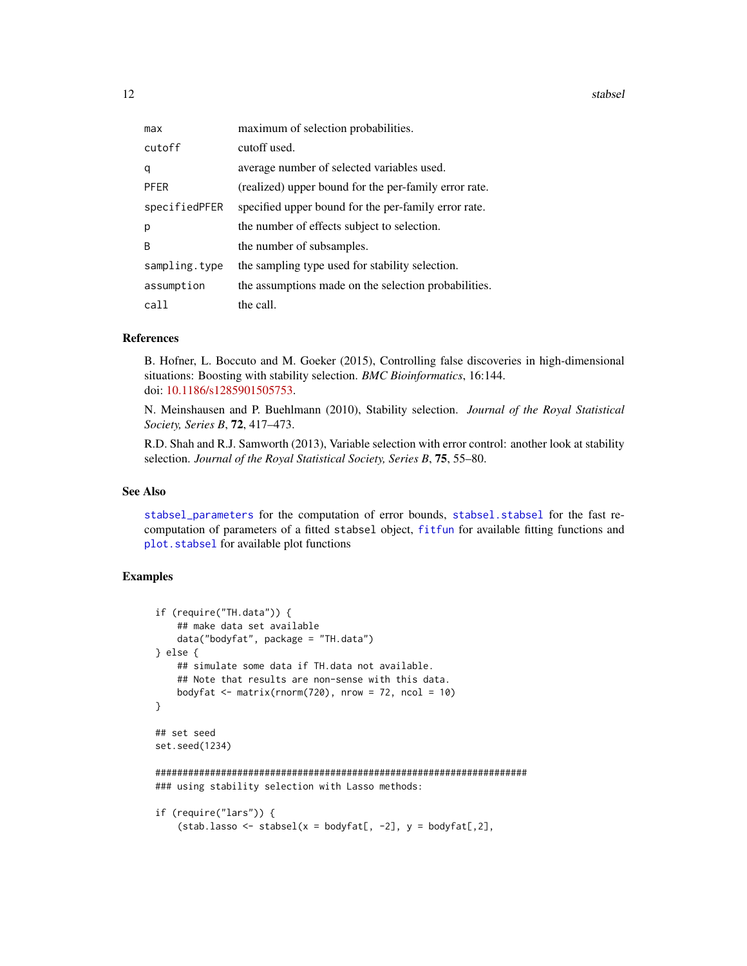<span id="page-11-0"></span>12 stabsel

| max           | maximum of selection probabilities.                   |
|---------------|-------------------------------------------------------|
| cutoff        | cutoff used.                                          |
| q             | average number of selected variables used.            |
| <b>PFER</b>   | (realized) upper bound for the per-family error rate. |
| specifiedPFER | specified upper bound for the per-family error rate.  |
| p             | the number of effects subject to selection.           |
| <sub>B</sub>  | the number of subsamples.                             |
| sampling.type | the sampling type used for stability selection.       |
| assumption    | the assumptions made on the selection probabilities.  |
| call          | the call.                                             |

#### References

B. Hofner, L. Boccuto and M. Goeker (2015), Controlling false discoveries in high-dimensional situations: Boosting with stability selection. *BMC Bioinformatics*, 16:144. doi: [10.1186/s1285901505753.](https://doi.org/10.1186/s12859-015-0575-3)

N. Meinshausen and P. Buehlmann (2010), Stability selection. *Journal of the Royal Statistical Society, Series B*, 72, 417–473.

R.D. Shah and R.J. Samworth (2013), Variable selection with error control: another look at stability selection. *Journal of the Royal Statistical Society, Series B*, 75, 55–80.

#### See Also

[stabsel\\_parameters](#page-15-1) for the computation of error bounds, [stabsel.stabsel](#page-13-1) for the fast recomputation of parameters of a fitted stabsel object, [fitfun](#page-2-1) for available fitting functions and [plot.stabsel](#page-4-1) for available plot functions

# Examples

```
if (require("TH.data")) {
    ## make data set available
    data("bodyfat", package = "TH.data")
} else {
    ## simulate some data if TH.data not available.
    ## Note that results are non-sense with this data.
    bodyfat \leq matrix(rnorm(720), nrow = 72, ncol = 10)
}
## set seed
set.seed(1234)
####################################################################
### using stability selection with Lasso methods:
if (require("lars")) {
    (stab.lasso <- stabsel(x = bodyfat[, -2], y = bodyfat[,2],
```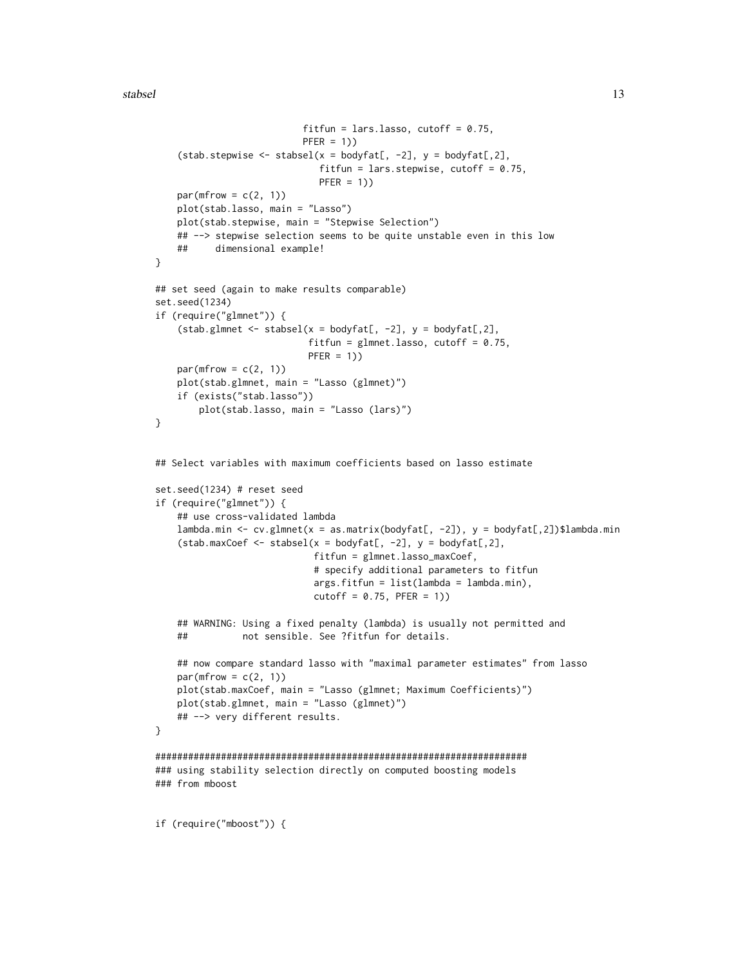stabsel and the stable state of the state of the state state state of the state state state state state state  $\sim$  13

```
fitfun = lars.lasso, cutoff = 0.75,
                          PFER = 1)(stab.stepwise <- stabsel(x = bodyfat[, -2], y = bodyfat[,2],
                             fitfun = lars.stepwise, cutoff = 0.75,
                             PFER = 1)par(mfrow = c(2, 1))plot(stab.lasso, main = "Lasso")
    plot(stab.stepwise, main = "Stepwise Selection")
    ## --> stepwise selection seems to be quite unstable even in this low
    ## dimensional example!
}
## set seed (again to make results comparable)
set.seed(1234)
if (require("glmnet")) {
    (stab.glmnet <- stabsel(x = bodyfat[, -2], y = bodyfat[,2],
                            fitfun = glmnet.lasso, cutoff = 0.75,
                           PFER = 1)par(mfrow = c(2, 1))plot(stab.glmnet, main = "Lasso (glmnet)")
    if (exists("stab.lasso"))
        plot(stab.lasso, main = "Lasso (lars)")
}
## Select variables with maximum coefficients based on lasso estimate
set.seed(1234) # reset seed
if (require("glmnet")) {
    ## use cross-validated lambda
    lambda.min <- cv.glmnet(x = as.matrix(bodyfat[, -2]), y = bodyfat[,2])$lambda.min
    (stab.maxCoef \leq stabsel(x = bodyfat[, -2], y = bodyfat[,2],
                            fitfun = glmnet.lasso_maxCoef,
                             # specify additional parameters to fitfun
                             args.fitfun = list(lambda = lambda.min),cutoff = 0.75, PFER = 1)## WARNING: Using a fixed penalty (lambda) is usually not permitted and
    ## not sensible. See ?fitfun for details.
    ## now compare standard lasso with "maximal parameter estimates" from lasso
    par(mfrow = c(2, 1))plot(stab.maxCoef, main = "Lasso (glmnet; Maximum Coefficients)")
    plot(stab.glmnet, main = "Lasso (glmnet)")
    ## --> very different results.
}
####################################################################
### using stability selection directly on computed boosting models
### from mboost
```
if (require("mboost")) {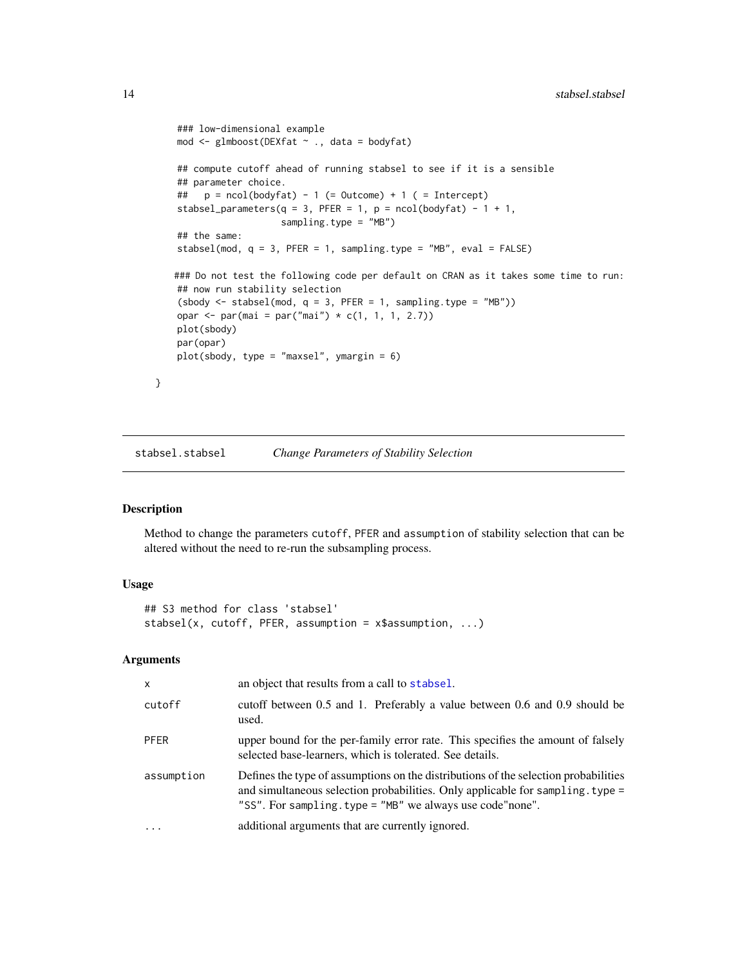```
### low-dimensional example
mod <- glmboost(DEXfat ~ ., data = bodyfat)
## compute cutoff ahead of running stabsel to see if it is a sensible
## parameter choice.
## p = ncol(bodyfat) - 1 (= Outcome) + 1 ( = Intercept)
stabsel_parameters(q = 3, PFER = 1, p = ncol(bodyfat) - 1 + 1,
                   sampling.type = "MB")
## the same:
stabsel(mod, q = 3, PFER = 1, sampling.type = "MB", eval = FALSE)
### Do not test the following code per default on CRAN as it takes some time to run:
## now run stability selection
(sbody \leq stabsel(mod, q = 3, PFER = 1, sampling-type = "MB")opar <- par(mai = par("mai") * c(1, 1, 1, 2.7))
plot(sbody)
par(opar)
plot(sbody, type = "maxsel", ymargin = 6)
```
<span id="page-13-1"></span>stabsel.stabsel *Change Parameters of Stability Selection*

# Description

}

Method to change the parameters cutoff, PFER and assumption of stability selection that can be altered without the need to re-run the subsampling process.

# Usage

## S3 method for class 'stabsel' stabsel(x, cutoff, PFER, assumption = x\$assumption, ...)

| $\mathsf{x}$ | an object that results from a call to stabsel.                                                                                                                                                                                      |
|--------------|-------------------------------------------------------------------------------------------------------------------------------------------------------------------------------------------------------------------------------------|
| cutoff       | cutoff between 0.5 and 1. Preferably a value between 0.6 and 0.9 should be<br>used.                                                                                                                                                 |
| <b>PFER</b>  | upper bound for the per-family error rate. This specifies the amount of falsely<br>selected base-learners, which is tolerated. See details.                                                                                         |
| assumption   | Defines the type of assumptions on the distributions of the selection probabilities<br>and simultaneous selection probabilities. Only applicable for sampling. type =<br>"SS". For sampling. type = "MB" we always use code "none". |
|              | additional arguments that are currently ignored.                                                                                                                                                                                    |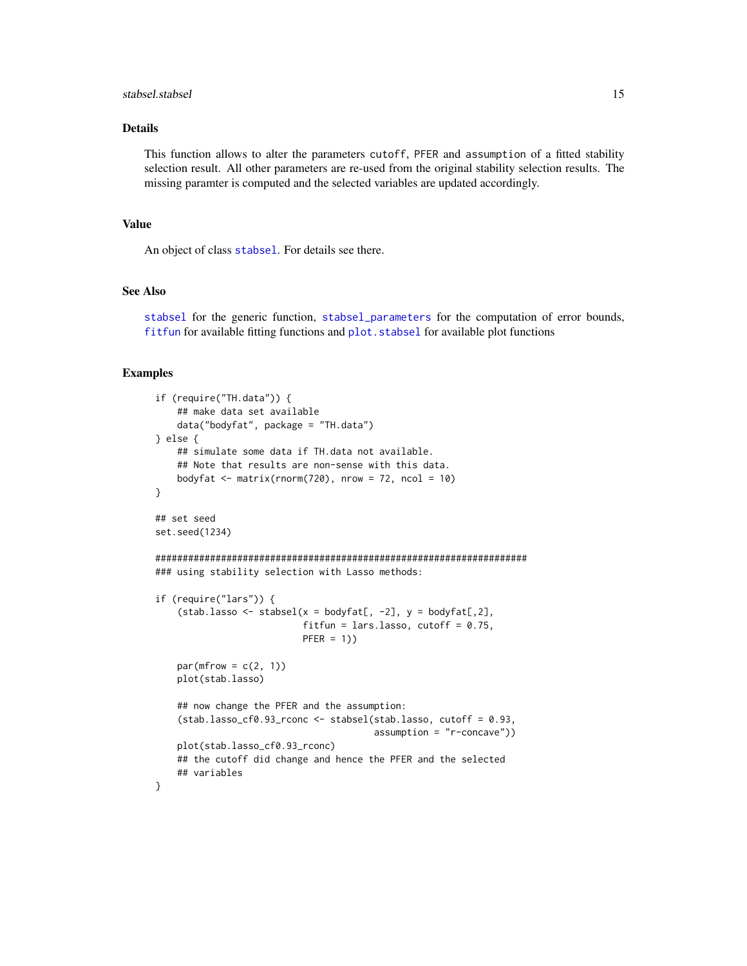#### <span id="page-14-0"></span>stabsel.stabsel 15

# Details

This function allows to alter the parameters cutoff, PFER and assumption of a fitted stability selection result. All other parameters are re-used from the original stability selection results. The missing paramter is computed and the selected variables are updated accordingly.

#### Value

An object of class [stabsel](#page-8-1). For details see there.

# See Also

[stabsel](#page-8-1) for the generic function, [stabsel\\_parameters](#page-15-1) for the computation of error bounds, [fitfun](#page-2-1) for available fitting functions and [plot.stabsel](#page-4-1) for available plot functions

#### Examples

```
if (require("TH.data")) {
    ## make data set available
    data("bodyfat", package = "TH.data")
} else {
    ## simulate some data if TH.data not available.
    ## Note that results are non-sense with this data.
    bodyfat \leq matrix(rnorm(720), nrow = 72, ncol = 10)
}
## set seed
set.seed(1234)
####################################################################
### using stability selection with Lasso methods:
if (require("lars")) {
    (stat. lasso < - stabsel(x = bodyfat[, -2], y = bodyfat[, 2],fitfun = lars.lasso, cutoff = 0.75,
                           PFER = 1)par(mfrow = c(2, 1))plot(stab.lasso)
    ## now change the PFER and the assumption:
    (stab.lasso_cf0.93_rconc <- stabsel(stab.lasso, cutoff = 0.93,
                                        assumption = "r-concave"))
    plot(stab.lasso_cf0.93_rconc)
    ## the cutoff did change and hence the PFER and the selected
    ## variables
}
```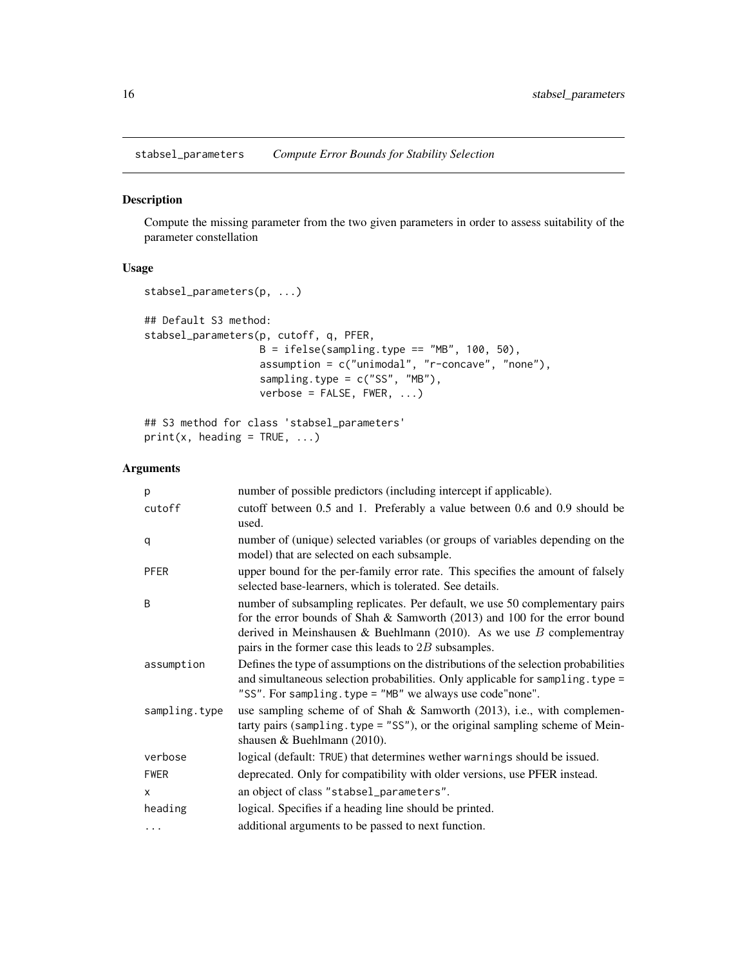<span id="page-15-1"></span><span id="page-15-0"></span>stabsel\_parameters *Compute Error Bounds for Stability Selection*

# Description

Compute the missing parameter from the two given parameters in order to assess suitability of the parameter constellation

# Usage

```
stabsel_parameters(p, ...)
## Default S3 method:
stabsel_parameters(p, cutoff, q, PFER,
                   B = ifelse(sampling-type == "MB", 100, 50),assumption = c("unimodal", "r-concave", "none"),
                   sampling.type = c("SS", "MB"),
                   verbose = FALSE, FWER, ...)## S3 method for class 'stabsel_parameters'
```

```
print(x, heading = TRUE, ...)
```

| p             | number of possible predictors (including intercept if applicable).                                                                                                                                                                                                                                 |
|---------------|----------------------------------------------------------------------------------------------------------------------------------------------------------------------------------------------------------------------------------------------------------------------------------------------------|
| cutoff        | cutoff between 0.5 and 1. Preferably a value between 0.6 and 0.9 should be<br>used.                                                                                                                                                                                                                |
| q             | number of (unique) selected variables (or groups of variables depending on the<br>model) that are selected on each subsample.                                                                                                                                                                      |
| PFER          | upper bound for the per-family error rate. This specifies the amount of falsely<br>selected base-learners, which is tolerated. See details.                                                                                                                                                        |
| B             | number of subsampling replicates. Per default, we use 50 complementary pairs<br>for the error bounds of Shah $\&$ Samworth (2013) and 100 for the error bound<br>derived in Meinshausen & Buehlmann (2010). As we use $B$ complementray<br>pairs in the former case this leads to $2B$ subsamples. |
| assumption    | Defines the type of assumptions on the distributions of the selection probabilities<br>and simultaneous selection probabilities. Only applicable for sampling. type =<br>"SS". For sampling. type = "MB" we always use code"none".                                                                 |
| sampling.type | use sampling scheme of of Shah $\&$ Samworth (2013), i.e., with complemen-<br>tarty pairs (sampling.type = "SS"), or the original sampling scheme of Mein-<br>shausen & Buehlmann $(2010)$ .                                                                                                       |
| verbose       | logical (default: TRUE) that determines wether warnings should be issued.                                                                                                                                                                                                                          |
| <b>FWER</b>   | deprecated. Only for compatibility with older versions, use PFER instead.                                                                                                                                                                                                                          |
| X             | an object of class "stabsel_parameters".                                                                                                                                                                                                                                                           |
| heading       | logical. Specifies if a heading line should be printed.                                                                                                                                                                                                                                            |
| $\cdots$      | additional arguments to be passed to next function.                                                                                                                                                                                                                                                |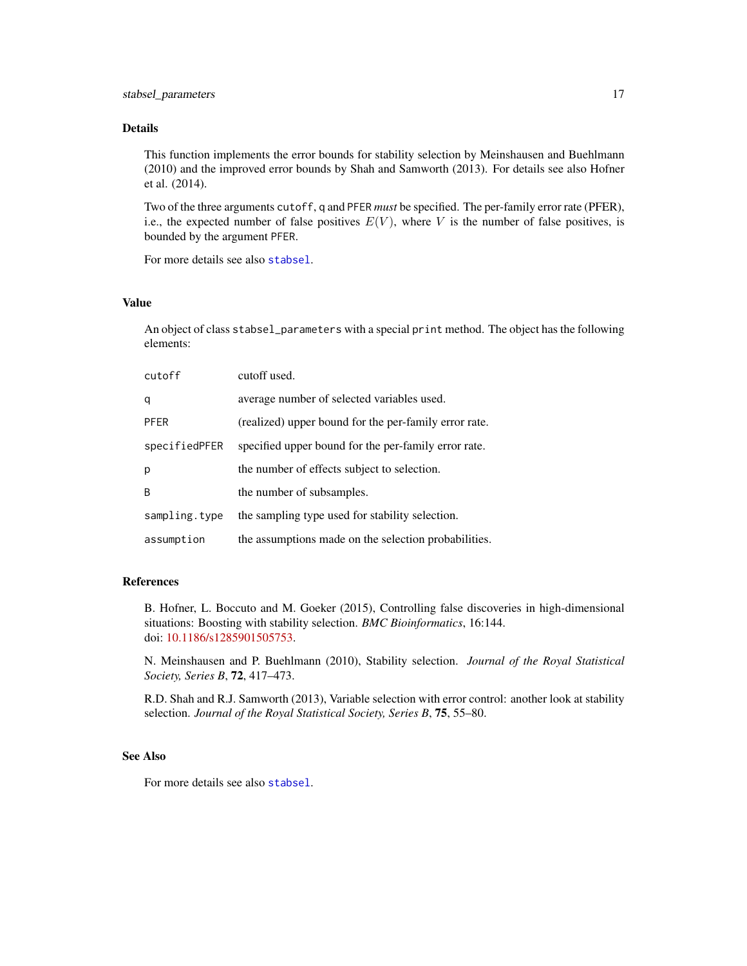<span id="page-16-0"></span>This function implements the error bounds for stability selection by Meinshausen and Buehlmann (2010) and the improved error bounds by Shah and Samworth (2013). For details see also Hofner et al. (2014).

Two of the three arguments cutoff, q and PFER *must* be specified. The per-family error rate (PFER), i.e., the expected number of false positives  $E(V)$ , where V is the number of false positives, is bounded by the argument PFER.

For more details see also [stabsel](#page-8-1).

#### Value

An object of class stabsel\_parameters with a special print method. The object has the following elements:

| cutoff        | cutoff used.                                          |
|---------------|-------------------------------------------------------|
| q             | average number of selected variables used.            |
| <b>PFER</b>   | (realized) upper bound for the per-family error rate. |
| specifiedPFER | specified upper bound for the per-family error rate.  |
| р             | the number of effects subject to selection.           |
| B             | the number of subsamples.                             |
| sampling.type | the sampling type used for stability selection.       |
| assumption    | the assumptions made on the selection probabilities.  |

#### References

B. Hofner, L. Boccuto and M. Goeker (2015), Controlling false discoveries in high-dimensional situations: Boosting with stability selection. *BMC Bioinformatics*, 16:144. doi: [10.1186/s1285901505753.](https://doi.org/10.1186/s12859-015-0575-3)

N. Meinshausen and P. Buehlmann (2010), Stability selection. *Journal of the Royal Statistical Society, Series B*, 72, 417–473.

R.D. Shah and R.J. Samworth (2013), Variable selection with error control: another look at stability selection. *Journal of the Royal Statistical Society, Series B*, 75, 55–80.

#### See Also

For more details see also [stabsel](#page-8-1).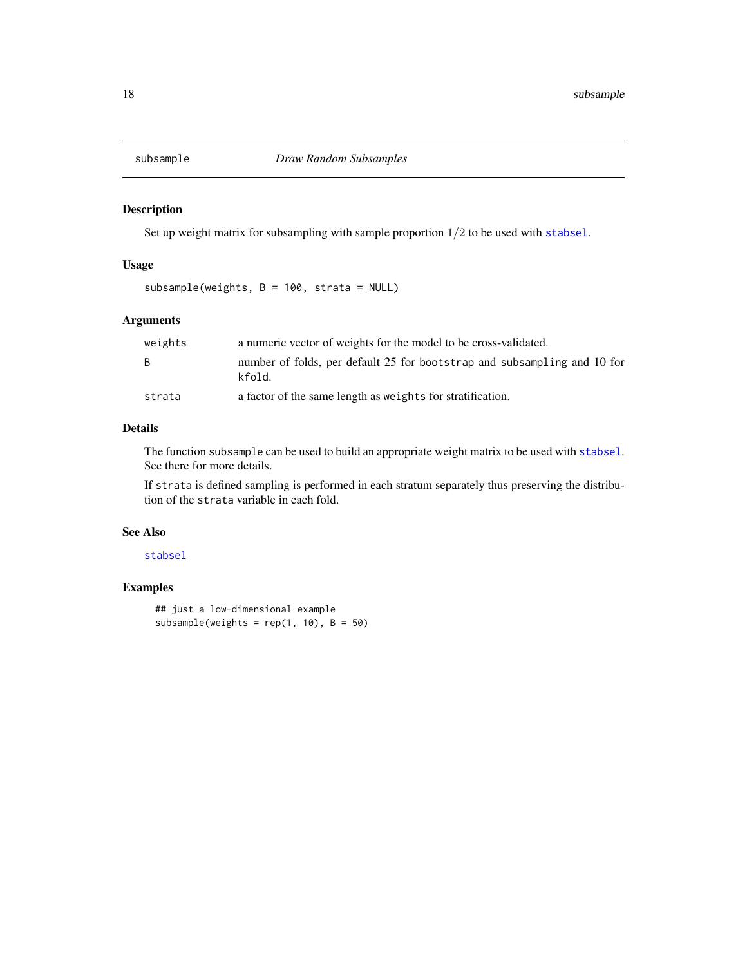<span id="page-17-1"></span><span id="page-17-0"></span>

# Description

Set up weight matrix for subsampling with sample proportion  $1/2$  to be used with [stabsel](#page-8-1).

# Usage

subsample(weights, B = 100, strata = NULL)

# Arguments

| weights | a numeric vector of weights for the model to be cross-validated.                   |
|---------|------------------------------------------------------------------------------------|
| B.      | number of folds, per default 25 for bootstrap and subsampling and 10 for<br>kfold. |
| strata  | a factor of the same length as weights for stratification.                         |

# Details

The function subsample can be used to build an appropriate weight matrix to be used with [stabsel](#page-8-1). See there for more details.

If strata is defined sampling is performed in each stratum separately thus preserving the distribution of the strata variable in each fold.

#### See Also

# [stabsel](#page-8-1)

# Examples

```
## just a low-dimensional example
subsample(weights = rep(1, 10), B = 50)
```